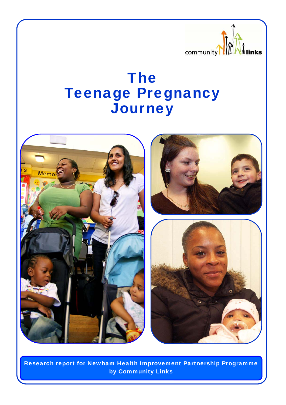

# The Teenage Pregnancy **Journey**



Research report for Newham Health Improvement Partnership Programme by Community Links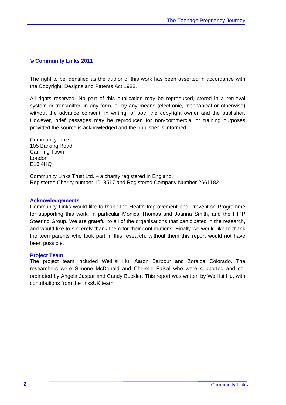#### **© Community Links 2011**

The right to be identified as the author of this work has been asserted in accordance with the Copyright, Designs and Patents Act 1988.

All rights reserved. No part of this publication may be reproduced, stored in a retrieval system or transmitted in any form, or by any means (electronic, mechanical or otherwise) without the advance consent, in writing, of both the copyright owner and the publisher. However, brief passages may be reproduced for non-commercial or training purposes provided the source is acknowledged and the publisher is informed.

Community Links 105 Barking Road Canning Town London E16 4HQ

Community Links Trust Ltd. – a charity registered in England. Registered Charity number 1018517 and Registered Company Number 2661182

#### **Acknowledgements**

Community Links would like to thank the Health Improvement and Prevention Programme for supporting this work, in particular Monica Thomas and Joanna Smith, and the HIPP Steering Group. We are grateful to all of the organisations that participated in the research, and would like to sincerely thank them for their contributions. Finally we would like to thank the teen parents who took part in this research, without them this report would not have been possible.

#### **Project Team**

The project team included WeiHsi Hu, Aaron Barbour and Zoraida Colorado. The researchers were Simone McDonald and Cherelle Faisal who were supported and coordinated by Angela Jaspar and Candy Buckler. This report was written by WeiHsi Hu, with contributions from the linksUK team.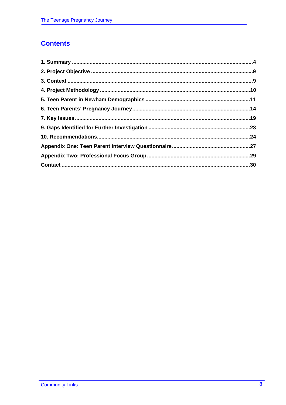# **Contents**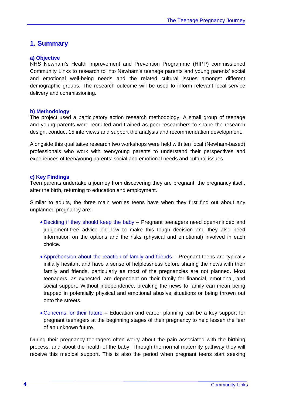# **1. Summary**

## **a) Objective**

NHS Newham's Health Improvement and Prevention Programme (HIPP) commissioned Community Links to research to into Newham's teenage parents and young parents' social and emotional well-being needs and the related cultural issues amongst different demographic groups. The research outcome will be used to inform relevant local service delivery and commissioning.

#### **b) Methodology**

The project used a participatory action research methodology. A small group of teenage and young parents were recruited and trained as peer researchers to shape the research design, conduct 15 interviews and support the analysis and recommendation development.

Alongside this qualitaitve research two workshops were held with ten local (Newham-based) professionals who work with teen/young parents to understand their perspectives and experiences of teen/young parents' social and emotional needs and cultural issues.

#### **c) Key Findings**

Teen parents undertake a journey from discovering they are pregnant, the pregnancy itself, after the birth, returning to education and employment.

Similar to adults, the three main worries teens have when they first find out about any unplanned pregnancy are:

- Deciding if they should keep the baby Pregnant teenagers need open-minded and judgement-free advice on how to make this tough decision and they also need information on the options and the risks (physical and emotional) involved in each choice.
- Apprehension about the reaction of family and friends Pregnant teens are typically initially hesitant and have a sense of helplessness before sharing the news with their family and friends, particularly as most of the pregnancies are not planned. Most teenagers, as expected, are dependent on their family for financial, emotional, and social support. Without independence, breaking the news to family can mean being trapped in potentially physical and emotional abusive situations or being thrown out onto the streets.
- Concerns for their futureEducation and career planning can be a key support for pregnant teenagers at the beginning stages of their pregnancy to help lessen the fear of an unknown future.

During their pregnancy teenagers often worry about the pain associated with the birthing process, and about the health of the baby. Through the normal maternity pathway they will receive this medical support. This is also the period when pregnant teens start seeking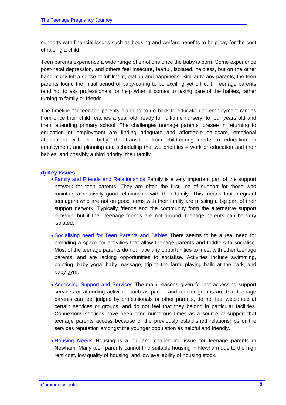supports with financial issues such as housing and welfare benefits to help pay for the cost of raising a child.

Teen parents experience a wide range of emotions once the baby is born. Some experience post-natal depression, and others feel insecure, fearful, isolated, helpless, but on the other hand many felt a sense of fulfilment, elation and happiness. Similar to any parents, the teen parents found the initial period of baby-caring to be exciting yet difficult. Teenage parents tend not to ask professionals for help when it comes to taking care of the babies, rather turning to family or friends.

The timeline for teenage parents planning to go back to education or employment ranges from once their child reaches a year old, ready for full-time nursery, to four years old and them attending primary school. The challenges teenage parents foresee in returning to education or employment are finding adequate and affordable childcare, emotional attachment with the baby, the transition from child-caring mode to education or employment, and planning and scheduling the two priorities – work or education and their babies, and possibly a third priority, their family.

#### **d) Key Issues**

- Family and Friends and Relationships Family is a very important part of the support network for teen parents. They are often the first line of support for those who maintain a relatively good relationship with their family. This means that pregnant teenagers who are not on good terms with their family are missing a big part of their support network. Typically friends and the community form the alternative support network, but if their teenage friends are not around, teenage parents can be very isolated.
- Socialising need for Teen Parents and Babies There seems to be a real need for providing a space for activities that allow teenage parents and toddlers to socialise. Most of the teenage parents do not have any opportunities to meet with other teenage parents, and are lacking opportunities to socialise. Activities include swimming, painting, baby yoga, baby massage, trip to the farm, playing balls at the park, and baby gym.
- Accessing Support and Services The main reasons given for not accessing support services or attending activities such as parent and toddler groups are that teenage parents can feel judged by professionals or other parents, do not feel welcomed at certain services or groups, and do not feel that they belong in particular facilities. Connexions services have been cited numerous times as a source of support that teenage parents access because of the previously established relationships or the services reputation amongst the younger population as helpful and friendly.
- Housing Needs Housing is a big and challenging issue for teenage parents in Newham. Many teen parents cannot find suitable housing in Newham due to the high rent cost, low quality of housing, and low availability of housing stock.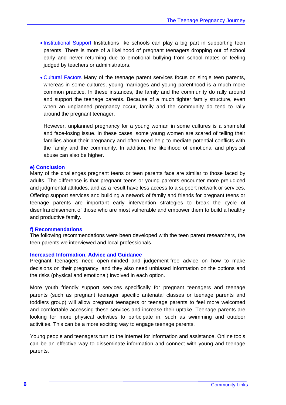- Institutional Support Institutions like schools can play a big part in supporting teen parents. There is more of a likelihood of pregnant teenagers dropping out of school early and never returning due to emotional bullying from school mates or feeling judged by teachers or administrators.
- Cultural Factors Many of the teenage parent services focus on single teen parents, whereas in some cultures, young marriages and young parenthood is a much more common practice. In these instances, the family and the community do rally around and support the teenage parents. Because of a much tighter family structure, even when an unplanned pregnancy occur, family and the community do tend to rally around the pregnant teenager.

However, unplanned pregnancy for a young woman in some cultures is a shameful and face-losing issue. In these cases, some young women are scared of telling their families about their pregnancy and often need help to mediate potential conflicts with the family and the community. In addition, the likelihood of emotional and physical abuse can also be higher.

#### **e) Conclusion**

Many of the challenges pregnant teens or teen parents face are similar to those faced by adults. The difference is that pregnant teens or young parents encounter more prejudiced and judgmental attitudes, and as a result have less access to a support network or services. Offering support services and building a network of family and friends for pregnant teens or teenage parents are important early intervention strategies to break the cycle of disenfranchisement of those who are most vulnerable and empower them to build a healthy and productive family.

#### **f) Recommendations**

The following recommendations were been developed with the teen parent researchers, the teen parents we interviewed and local professionals.

#### **Increased Information, Advice and Guidance**

Pregnant teenagers need open-minded and judgement-free advice on how to make decisions on their pregnancy, and they also need unbiased information on the options and the risks (physical and emotional) involved in each option.

More youth friendly support services specifically for pregnant teenagers and teenage parents (such as pregnant teenager specific antenatal classes or teenage parents and toddlers group) will allow pregnant teenagers or teenage parents to feel more welcomed and comfortable accessing these services and increase their uptake. Teenage parents are looking for more physical activities to participate in, such as swimming and outdoor activities. This can be a more exciting way to engage teenage parents.

Young people and teenagers turn to the internet for information and assistance. Online tools can be an effective way to disseminate information and connect with young and teenage parents.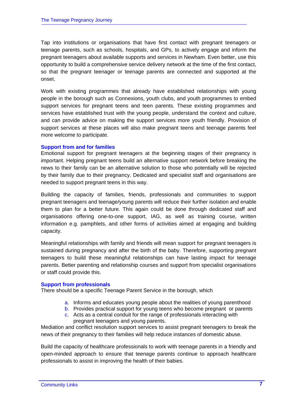Tap into institutions or organisations that have first contact with pregnant teenagers or teenage parents, such as schools, hospitals, and GPs, to actively engage and inform the pregnant teenagers about available supports and services in Newham. Even better, use this opportunity to build a comprehensive service delivery network at the time of the first contact, so that the pregnant teenager or teenage parents are connected and supported at the onset.

Work with existing programmes that already have established relationships with young people in the borough such as Connexions, youth clubs, and youth programmes to embed support services for pregnant teens and teen parents. These existing programmes and services have established trust with the young people, understand the context and culture, and can provide advice on making the support services more youth friendly. Provision of support services at these places will also make pregnant teens and teenage parents feel more welcome to participate.

#### **Support from and for families**

Emotional support for pregnant teenagers at the beginning stages of their pregnancy is important. Helping pregnant teens build an alternative support network before breaking the news to their family can be an alternative solution to those who potentially will be rejected by their family due to their pregnancy. Dedicated and specialist staff and organisations are needed to support pregnant teens in this way.

Building the capacity of families, friends, professionals and communities to support pregnant teenagers and teenage/young parents will reduce their further isolation and enable them to plan for a better future. This again could be done through dedicated staff and organisations offering one-to-one support, IAG, as well as training course, written information e.g. pamphlets, and other forms of activities aimed at engaging and building capacity.

Meaningful relationships with family and friends will mean support for pregnant teenagers is sustained during pregnancy and after the birth of the baby. Therefore, supporting pregnant teenagers to build these meaningful relationships can have lasting impact for teenage parents. Better parenting and relationship courses and support from specialist organisations or staff could provide this.

#### **Support from professionals**

There should be a specific Teenage Parent Service in the borough, which

- a. Informs and educates young people about the realities of young parenthood
- b. Provides practical support for young teens who become pregnant or parents
- c. Acts as a central conduit for the range of professionals interacting with pregnant teenagers and young parents.

Mediation and conflict resolution support services to assist pregnant teenagers to break the news of their pregnancy to their families will help reduce instances of domestic abuse.

Build the capacity of healthcare professionals to work with teenage parents in a friendly and open-minded approach to ensure that teenage parents continue to approach healthcare professionals to assist in improving the health of their babies.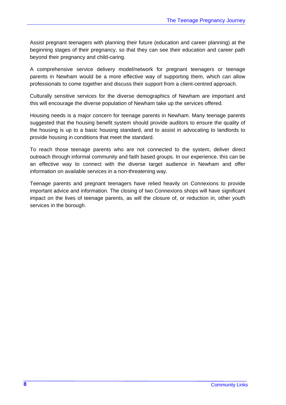Assist pregnant teenagers with planning their future (education and career planning) at the beginning stages of their pregnancy, so that they can see their education and career path beyond their pregnancy and child-caring.

A comprehensive service delivery model/network for pregnant teenagers or teenage parents in Newham would be a more effective way of supporting them, which can allow professionals to come together and discuss their support from a client-centred approach.

Culturally sensitive services for the diverse demographics of Newham are important and this will encourage the diverse population of Newham take up the services offered.

Housing needs is a major concern for teenage parents in Newham. Many teenage parents suggested that the housing benefit system should provide auditors to ensure the quality of the housing is up to a basic housing standard, and to assist in advocating to landlords to provide housing in conditions that meet the standard.

To reach those teenage parents who are not connected to the system, deliver direct outreach through informal community and faith based groups. In our experience, this can be an effective way to connect with the diverse target audience in Newham and offer information on available services in a non-threatening way.

Teenage parents and pregnant teenagers have relied heavily on Connexions to provide important advice and information. The closing of two Connexions shops will have significant impact on the lives of teenage parents, as will the closure of, or reduction in, other youth services in the borough.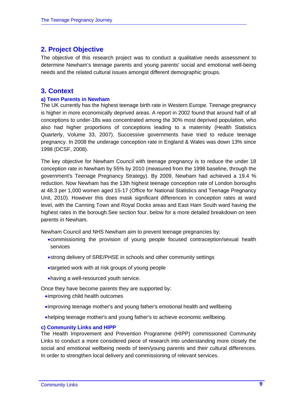# **2. Project Objective**

The objective of this research project was to conduct a qualitative needs assessment to determine Newham's teenage parents and young parents' social and emotional well-being needs and the related cultural issues amongst different demographic groups.

# **3. Context**

#### **a) Teen Parents in Newham**

The UK currently has the highest teenage birth rate in Western Europe. Teenage pregnancy is higher in more economically deprived areas. A report in 2002 found that around half of all conceptions to under-18s was concentrated among the 30% most deprived population, who also had higher proportions of conceptions leading to a maternity (Health Statistics Quarterly, Volume 33, 2007). Successive governments have tried to reduce teenage pregnancy. In 2008 the underage conception rate in England & Wales was down 13% since 1998 (DCSF, 2008).

The key objective for Newham Council with teenage pregnancy is to reduce the under 18 conception rate in Newham by 55% by 2010 (measured from the 1998 baseline, through the government's Teenage Pregnancy Strategy). By 2009, Newham had achieved a 19.4 % reduction. Now Newham has the 13th highest teenage conception rate of London boroughs at 48.3 per 1,000 women aged 15-17 (Office for National Statistics and Teenage Pregnancy Unit, 2010). However this does mask significant differences in conception rates at ward level, with the Canning Town and Royal Docks areas and East Ham South ward having the highest rates in the borough.See section four. below for a more detailed breakdown on teen parents in Newham.

Newham Council and NHS Newham aim to prevent teenage pregnancies by:

- •commissioning the provision of young people focused contraception/sexual health services
- •strong delivery of SRE/PHSE in schools and other community settings
- •targeted work with at risk groups of young people
- •having a well-resourced youth service.

Once they have become parents they are supported by:

- •improving child health outcomes
- •improving teenage mother's and young father's emotional health and wellbeing
- •helping teenage mother's and young father's to achieve economic wellbeing.

#### **c) Community Links and HIPP**

The Health Improvement and Prevention Programme (HIPP) commissioned Community Links to conduct a more considered piece of research into understanding more closely the social and emotional wellbeing needs of teen/young parents and their cultural differences. In order to strengthen local delivery and commissioning of relevant services.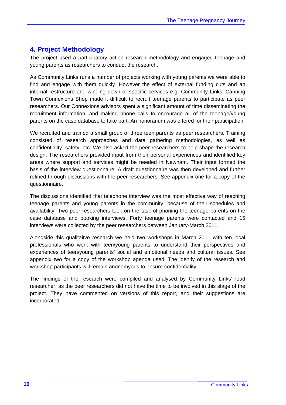# **4. Project Methodology**

The project used a participatory action research methodology and engaged teenage and young parents as researchers to conduct the research.

As Community Links runs a number of projects working with young parents we were able to find and engage with them quickly. However the effect of external funding cuts and an internal restructure and winding down of specific services e.g. Community Links' Canning Town Connexions Shop made it difficult to recruit teenage parents to participate as peer researchers. Our Connexions advisors spent a significant amount of time disseminating the recruitment information, and making phone calls to encourage all of the teenage/young parents on the case database to take part. An honorarium was offered for their participation.

We recruited and trained a small group of three teen parents as peer researchers. Training consisted of research approaches and data gathering methodologies, as well as confidentiality, safety, etc. We also asked the peer researchers to help shape the research design. The researchers provided input from their personal experiences and identified key areas where support and services might be needed in Newham. Their input formed the basis of the interview questionnaire. A draft questionnaire was then developed and further refined through discussions with the peer researchers. See appendix one for a copy of the questionnaire.

The discussions identified that telephone interview was the most effective way of reaching teenage parents and young parents in the community, because of their schedules and availability. Two peer researchers took on the task of phoning the teenage parents on the case database and booking interviews. Forty teenage parents were contacted and 15 interviews were collected by the peer researchers between January-March 2011.

Alongside this qualitaitve research we held two workshops in March 2011 with ten local professionals who work with teen/young parents to understand their perspectives and experiences of teen/young parents' social and emotional needs and cultural issues. See appendix two for a copy of the workshop agenda used. The idenify of the research and workshop participants will remain anonomyous to ensure confidentiality.

The findings of the research were compiled and analysed by Community Links' lead researcher, as the peer researchers did not have the time to be involved in this stage of the project. They have commented on versions of this report, and their suggestions are incorporated.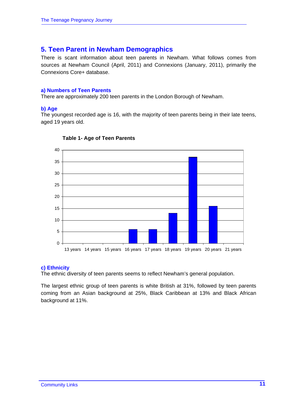# **5. Teen Parent in Newham Demographics**

There is scant information about teen parents in Newham. What follows comes from sources at Newham Council (April, 2011) and Connexions (January, 2011), primarily the Connexions Core+ database.

## **a) Numbers of Teen Parents**

There are approximately 200 teen parents in the London Borough of Newham.

# **b) Age**

The youngest recorded age is 16, with the majority of teen parents being in their late teens, aged 19 years old.



#### **Table 1- Age of Teen Parents**

# **c) Ethnicity**

The ethnic diversity of teen parents seems to reflect Newham's general population.

The largest ethnic group of teen parents is white British at 31%, followed by teen parents coming from an Asian background at 25%, Black Caribbean at 13% and Black African background at 11%.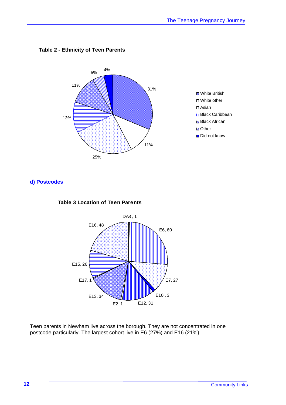

## **Table 2 - Ethnicity of Teen Parents**

**d) Postcodes** 





Teen parents in Newham live across the borough. They are not concentrated in one postcode particularly. The largest cohort live in E6 (27%) and E16 (21%).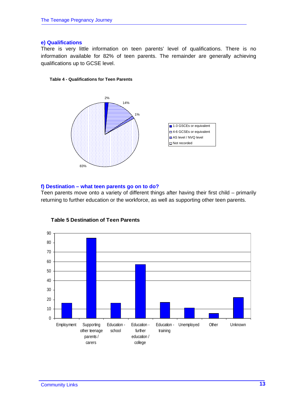#### **e) Qualifications**

There is very little information on teen parents' level of qualifications. There is no information available for 82% of teen parents. The remainder are generally achieving qualifications up to GCSE level.

#### **Table 4 - Qualifications for Teen Parents**



## **f) Destination – what teen parents go on to do?**

Teen parents move onto a variety of different things after having their first child – primarily returning to further education or the workforce, as well as supporting other teen parents.



#### **Table 5 Destination of Teen Parents**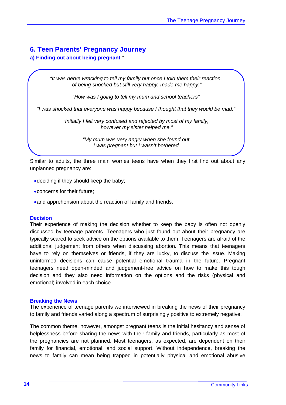# **6. Teen Parents' Pregnancy Journey**

# **a) Finding out about being pregnant***."*

*"It was nerve wracking to tell my family but once I told them their reaction, of being shocked but still very happy, made me happy."* 

*"How was I going to tell my mum and school teachers"* 

*"I was shocked that everyone was happy because I thought that they would be mad."* 

*"Initially I felt very confused and rejected by most of my family, however my sister helped me."* 

> *"My mum was very angry when she found out I was pregnant but I wasn't bothered*

Similar to adults, the three main worries teens have when they first find out about any unplanned pregnancy are:

- •deciding if they should keep the baby;
- •concerns for their future;
- •and apprehension about the reaction of family and friends.

#### **Decision**

Their experience of making the decision whether to keep the baby is often not openly discussed by teenage parents. Teenagers who just found out about their pregnancy are typically scared to seek advice on the options available to them. Teenagers are afraid of the additional judgement from others when discussing abortion. This means that teenagers have to rely on themselves or friends, if they are lucky, to discuss the issue. Making uninformed decisions can cause potential emotional trauma in the future. Pregnant teenagers need open-minded and judgement-free advice on how to make this tough decision and they also need information on the options and the risks (physical and emotional) involved in each choice.

#### **Breaking the News**

The experience of teenage parents we interviewed in breaking the news of their pregnancy to family and friends varied along a spectrum of surprisingly positive to extremely negative.

The common theme, however, amongst pregnant teens is the initial hesitancy and sense of helplessness before sharing the news with their family and friends, particularly as most of the pregnancies are not planned. Most teenagers, as expected, are dependent on their family for financial, emotional, and social support. Without independence, breaking the news to family can mean being trapped in potentially physical and emotional abusive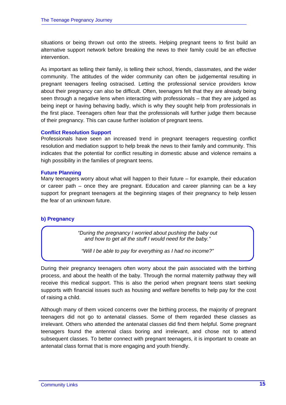situations or being thrown out onto the streets. Helping pregnant teens to first build an alternative support network before breaking the news to their family could be an effective intervention.

As important as telling their family, is telling their school, friends, classmates, and the wider community. The attitudes of the wider community can often be judgemental resulting in pregnant teenagers feeling ostracised. Letting the professional service providers know about their pregnancy can also be difficult. Often, teenagers felt that they are already being seen through a negative lens when interacting with professionals – that they are judged as being inept or having behaving badly, which is why they sought help from professionals in the first place. Teenagers often fear that the professionals will further judge them because of their pregnancy. This can cause further isolation of pregnant teens.

## **Conflict Resolution Support**

Professionals have seen an increased trend in pregnant teenagers requesting conflict resolution and mediation support to help break the news to their family and community. This indicates that the potential for conflict resulting in domestic abuse and violence remains a high possibility in the families of pregnant teens.

## **Future Planning**

Many teenagers worry about what will happen to their future – for example, their education or career path – once they are pregnant. Education and career planning can be a key support for pregnant teenagers at the beginning stages of their pregnancy to help lessen the fear of an unknown future.

# **b) Pregnancy**

*"During the pregnancy I worried about pushing the baby out and how to get all the stuff I would need for the baby."* 

*"Will I be able to pay for everything as I had no income?"* 

During their pregnancy teenagers often worry about the pain associated with the birthing process, and about the health of the baby. Through the normal maternity pathway they will receive this medical support. This is also the period when pregnant teens start seeking supports with financial issues such as housing and welfare benefits to help pay for the cost of raising a child.

Although many of them voiced concerns over the birthing process, the majority of pregnant teenagers did not go to antenatal classes. Some of them regarded these classes as irrelevant. Others who attended the antenatal classes did find them helpful. Some pregnant teenagers found the antennal class boring and irrelevant, and chose not to attend subsequent classes. To better connect with pregnant teenagers, it is important to create an antenatal class format that is more engaging and youth friendly.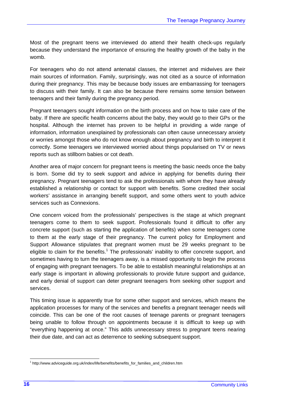Most of the pregnant teens we interviewed do attend their health check-ups regularly because they understand the importance of ensuring the healthy growth of the baby in the womb.

For teenagers who do not attend antenatal classes, the internet and midwives are their main sources of information. Family, surprisingly, was not cited as a source of information during their pregnancy. This may be because body issues are embarrassing for teenagers to discuss with their family. It can also be because there remains some tension between teenagers and their family during the pregnancy period.

Pregnant teenagers sought information on the birth process and on how to take care of the baby. If there are specific health concerns about the baby, they would go to their GPs or the hospital. Although the internet has proven to be helpful in providing a wide range of information, information unexplained by professionals can often cause unnecessary anxiety or worries amongst those who do not know enough about pregnancy and birth to interpret it correctly. Some teenagers we interviewed worried about things popularised on TV or news reports such as stillborn babies or cot death.

Another area of major concern for pregnant teens is meeting the basic needs once the baby is born. Some did try to seek support and advice in applying for benefits during their pregnancy. Pregnant teenagers tend to ask the professionals with whom they have already established a relationship or contact for support with benefits. Some credited their social workers' assistance in arranging benefit support, and some others went to youth advice services such as Connexions.

One concern voiced from the professionals' perspectives is the stage at which pregnant teenagers come to them to seek support. Professionals found it difficult to offer any concrete support (such as starting the application of benefits) when some teenagers come to them at the early stage of their pregnancy. The current policy for Employment and Support Allowance stipulates that pregnant women must be 29 weeks pregnant to be eligible to claim for the benefits.<sup>1</sup> The professionals' inability to offer concrete support, and sometimes having to turn the teenagers away, is a missed opportunity to begin the process of engaging with pregnant teenagers. To be able to establish meaningful relationships at an early stage is important in allowing professionals to provide future support and guidance, and early denial of support can deter pregnant teenagers from seeking other support and services.

This timing issue is apparently true for some other support and services, which means the application processes for many of the services and benefits a pregnant teenager needs will coincide. This can be one of the root causes of teenage parents or pregnant teenagers being unable to follow through on appointments because it is difficult to keep up with "everything happening at once." This adds unnecessary stress to pregnant teens nearing their due date, and can act as deterrence to seeking subsequent support.

 $\overline{a}$ <sup>1</sup> http://www.adviceguide.org.uk/index/life/benefits/benefits\_for\_families\_and\_children.htm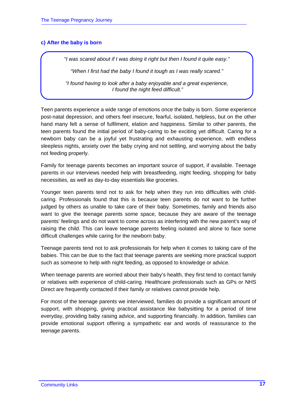# **c) After the baby is born**

*"I was scared about if I was doing it right but then I found it quite easy."* 

*"When I first had the baby I found it tough as I was really scared."* 

*"I found having to look after a baby enjoyable and a great experience, I found the night feed difficult."* 

Teen parents experience a wide range of emotions once the baby is born. Some experience post-natal depression, and others feel insecure, fearful, isolated, helpless, but on the other hand many felt a sense of fulfilment, elation and happiness. Similar to other parents, the teen parents found the initial period of baby-caring to be exciting yet difficult. Caring for a newborn baby can be a joyful yet frustrating and exhausting experience, with endless sleepless nights, anxiety over the baby crying and not settling, and worrying about the baby not feeding properly.

Family for teenage parents becomes an important source of support, if available. Teenage parents in our interviews needed help with breastfeeding, night feeding, shopping for baby necessities, as well as day-to-day essentials like groceries.

Younger teen parents tend not to ask for help when they run into difficulties with childcaring. Professionals found that this is because teen parents do not want to be further judged by others as unable to take care of their baby. Sometimes, family and friends also want to give the teenage parents some space, because they are aware of the teenage parents' feelings and do not want to come across as interfering with the new parent's way of raising the child. This can leave teenage parents feeling isolated and alone to face some difficult challenges while caring for the newborn baby.

Teenage parents tend not to ask professionals for help when it comes to taking care of the babies. This can be due to the fact that teenage parents are seeking more practical support such as someone to help with night feeding, as opposed to knowledge or advice.

When teenage parents are worried about their baby's health, they first tend to contact family or relatives with experience of child-caring. Healthcare professionals such as GPs or NHS Direct are frequently contacted if their family or relatives cannot provide help.

For most of the teenage parents we interviewed, families do provide a significant amount of support, with shopping, giving practical assistance like babysitting for a period of time everyday, providing baby raising advice, and supporting financially. In addition, families can provide emotional support offering a sympathetic ear and words of reassurance to the teenage parents.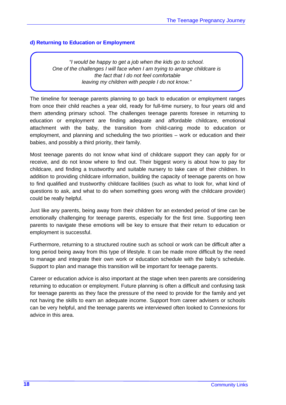# **d) Returning to Education or Employment**

*"I would be happy to get a job when the kids go to school. One of the challenges I will face when I am trying to arrange childcare is the fact that I do not feel comfortable leaving my children with people I do not know."* 

The timeline for teenage parents planning to go back to education or employment ranges from once their child reaches a year old, ready for full-time nursery, to four years old and them attending primary school. The challenges teenage parents foresee in returning to education or employment are finding adequate and affordable childcare, emotional attachment with the baby, the transition from child-caring mode to education or employment, and planning and scheduling the two priorities – work or education and their babies, and possibly a third priority, their family.

Most teenage parents do not know what kind of childcare support they can apply for or receive, and do not know where to find out. Their biggest worry is about how to pay for childcare, and finding a trustworthy and suitable nursery to take care of their children. In addition to providing childcare information, building the capacity of teenage parents on how to find qualified and trustworthy childcare facilities (such as what to look for, what kind of questions to ask, and what to do when something goes wrong with the childcare provider) could be really helpful.

Just like any parents, being away from their children for an extended period of time can be emotionally challenging for teenage parents, especially for the first time. Supporting teen parents to navigate these emotions will be key to ensure that their return to education or employment is successful.

Furthermore, returning to a structured routine such as school or work can be difficult after a long period being away from this type of lifestyle. It can be made more difficult by the need to manage and integrate their own work or education schedule with the baby's schedule. Support to plan and manage this transition will be important for teenage parents.

Career or education advice is also important at the stage when teen parents are considering returning to education or employment. Future planning is often a difficult and confusing task for teenage parents as they face the pressure of the need to provide for the family and yet not having the skills to earn an adequate income. Support from career advisers or schools can be very helpful, and the teenage parents we interviewed often looked to Connexions for advice in this area.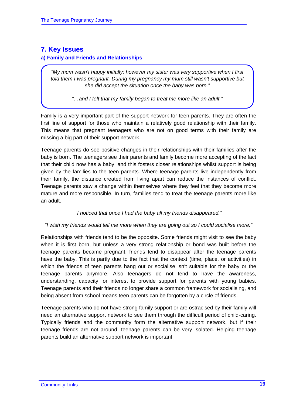# **7. Key Issues**

# **a) Family and Friends and Relationships**

*"My mum wasn't happy initially; however my sister was very supportive when I first told them I was pregnant. During my pregnancy my mum still wasn't supportive but she did accept the situation once the baby was born."* 

*"…and I felt that my family began to treat me more like an adult."* 

Family is a very important part of the support network for teen parents. They are often the first line of support for those who maintain a relatively good relationship with their family. This means that pregnant teenagers who are not on good terms with their family are missing a big part of their support network.

Teenage parents do see positive changes in their relationships with their families after the baby is born. The teenagers see their parents and family become more accepting of the fact that their child now has a baby; and this fosters closer relationships whilst support is being given by the families to the teen parents. Where teenage parents live independently from their family, the distance created from living apart can reduce the instances of conflict. Teenage parents saw a change within themselves where they feel that they become more mature and more responsible. In turn, families tend to treat the teenage parents more like an adult.

# *"I noticed that once I had the baby all my friends disappeared."*

# *"I wish my friends would tell me more when they are going out so I could socialise more."*

Relationships with friends tend to be the opposite. Some friends might visit to see the baby when it is first born, but unless a very strong relationship or bond was built before the teenage parents became pregnant, friends tend to disappear after the teenage parents have the baby. This is partly due to the fact that the context (time, place, or activities) in which the friends of teen parents hang out or socialise isn't suitable for the baby or the teenage parents anymore. Also teenagers do not tend to have the awareness, understanding, capacity, or interest to provide support for parents with young babies. Teenage parents and their friends no longer share a common framework for socialising, and being absent from school means teen parents can be forgotten by a circle of friends.

Teenage parents who do not have strong family support or are ostracised by their family will need an alternative support network to see them through the difficult period of child-caring. Typically friends and the community form the alternative support network, but if their teenage friends are not around, teenage parents can be very isolated. Helping teenage parents build an alternative support network is important.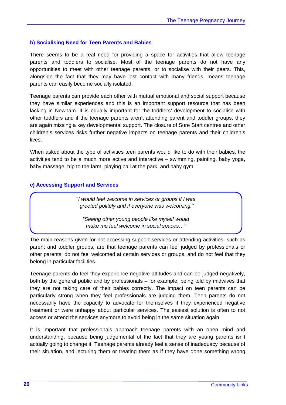#### **b) Socialising Need for Teen Parents and Babies**

There seems to be a real need for providing a space for activities that allow teenage parents and toddlers to socialise. Most of the teenage parents do not have any opportunities to meet with other teenage parents, or to socialise with their peers. This, alongside the fact that they may have lost contact with many friends, means teenage parents can easily become socially isolated.

Teenage parents can provide each other with mutual emotional and social support because they have similar experiences and this is an important support resource that has been lacking in Newham. It is equally important for the toddlers' development to socialise with other toddlers and if the teenage parents aren't attending parent and toddler groups, they are again missing a key developmental support. The closure of Sure Start centres and other children's services risks further negative impacts on teenage parents and their children's lives.

When asked about the type of activities teen parents would like to do with their babies, the activities tend to be a much more active and interactive – swimming, painting, baby yoga, baby massage, trip to the farm, playing ball at the park, and baby gym.

#### **c) Accessing Support and Services**

*"I would feel welcome in services or groups if I was greeted politely and if everyone was welcoming."* 

*"Seeing other young people like myself would make me feel welcome in social spaces…"* 

The main reasons given for not accessing support services or attending activities, such as parent and toddler groups, are that teenage parents can feel judged by professionals or other parents, do not feel welcomed at certain services or groups, and do not feel that they belong in particular facilities.

Teenage parents do feel they experience negative attitudes and can be judged negatively, both by the general public and by professionals – for example, being told by midwives that they are not taking care of their babies correctly. The impact on teen parents can be particularly strong when they feel professionals are judging them. Teen parents do not necessarily have the capacity to advocate for themselves if they experienced negative treatment or were unhappy about particular services. The easiest solution is often to not access or attend the services anymore to avoid being in the same situation again.

It is important that professionals approach teenage parents with an open mind and understanding, because being judgemental of the fact that they are young parents isn't actually going to change it. Teenage parents already feel a sense of inadequacy because of their situation, and lecturing them or treating them as if they have done something wrong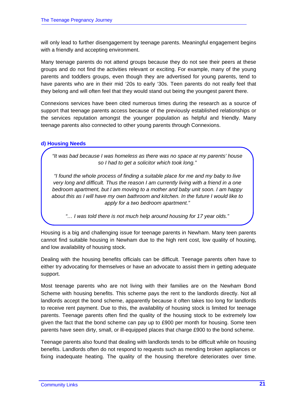will only lead to further disengagement by teenage parents. Meaningful engagement begins with a friendly and accepting environment.

Many teenage parents do not attend groups because they do not see their peers at these groups and do not find the activities relevant or exciting. For example, many of the young parents and toddlers groups, even though they are advertised for young parents, tend to have parents who are in their mid '20s to early '30s. Teen parents do not really feel that they belong and will often feel that they would stand out being the youngest parent there.

Connexions services have been cited numerous times during the research as a source of support that teenage parents access because of the previously established relationships or the services reputation amongst the younger population as helpful and friendly. Many teenage parents also connected to other young parents through Connexions.

# **d) Housing Needs**

*"It was bad because I was homeless as there was no space at my parents' house so I had to get a solicitor which took long."* 

*"I found the whole process of finding a suitable place for me and my baby to live very long and difficult. Thus the reason I am currently living with a friend in a one bedroom apartment, but I am moving to a mother and baby unit soon. I am happy about this as I will have my own bathroom and kitchen. In the future I would like to apply for a two bedroom apartment."* 

*"… I was told there is not much help around housing for 17 year olds."* 

Housing is a big and challenging issue for teenage parents in Newham. Many teen parents cannot find suitable housing in Newham due to the high rent cost, low quality of housing, and low availability of housing stock.

Dealing with the housing benefits officials can be difficult. Teenage parents often have to either try advocating for themselves or have an advocate to assist them in getting adequate support.

Most teenage parents who are not living with their families are on the Newham Bond Scheme with housing benefits. This scheme pays the rent to the landlords directly. Not all landlords accept the bond scheme, apparently because it often takes too long for landlords to receive rent payment. Due to this, the availability of housing stock is limited for teenage parents. Teenage parents often find the quality of the housing stock to be extremely low given the fact that the bond scheme can pay up to £900 per month for housing. Some teen parents have seen dirty, small, or ill-equipped places that charge £900 to the bond scheme.

Teenage parents also found that dealing with landlords tends to be difficult while on housing benefits. Landlords often do not respond to requests such as mending broken appliances or fixing inadequate heating. The quality of the housing therefore deteriorates over time.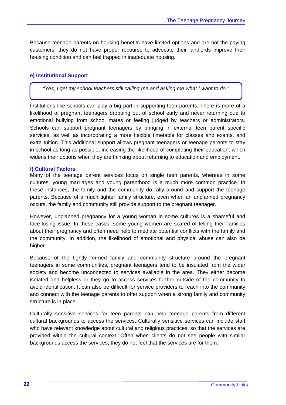Because teenage parents on housing benefits have limited options and are not the paying customers, they do not have proper recourse to advocate their landlords improve their housing condition and can feel trapped in inadequate housing.

## **e) Institutional Support**

*"Yes, I get my school teachers still calling me and asking me what I want to do."* 

Institutions like schools can play a big part in supporting teen parents. There is more of a likelihood of pregnant teenagers dropping out of school early and never returning due to emotional bullying from school mates or feeling judged by teachers or administrators. Schools can support pregnant teenagers by bringing in external teen parent specific services, as well as incorporating a more flexible timetable for classes and exams, and extra tuition. This additional support allows pregnant teenagers or teenage parents to stay in school as long as possible, increasing the likelihood of completing their education, which widens their options when they are thinking about returning to education and employment.

#### **f) Cultural Factors**

Many of the teenage parent services focus on single teen parents, whereas in some cultures, young marriages and young parenthood is a much more common practice. In these instances, the family and the community do rally around and support the teenage parents. Because of a much tighter family structure, even when an unplanned pregnancy occurs, the family and community still provide support to the pregnant teenager.

However, unplanned pregnancy for a young woman in some cultures is a shameful and face-losing issue. In these cases, some young women are scared of telling their families about their pregnancy and often need help to mediate potential conflicts with the family and the community. In addition, the likelihood of emotional and physical abuse can also be higher.

Because of the tightly formed family and community structure around the pregnant teenagers in some communities, pregnant teenagers tend to be insulated from the wider society and become unconnected to services available in the area. They either become isolated and helpless or they go to access services further outside of the community to avoid identification. It can also be difficult for service providers to reach into the community and connect with the teenage parents to offer support when a strong family and community structure is in place.

Culturally sensitive services for teen parents can help teenage parents from different cultural backgrounds to access the services. Culturally sensitive services can include staff who have relevant knowledge about cultural and religious practices, so that the services are provided within the cultural context. Often when clients do not see people with similar backgrounds access the services, they do not feel that the services are for them.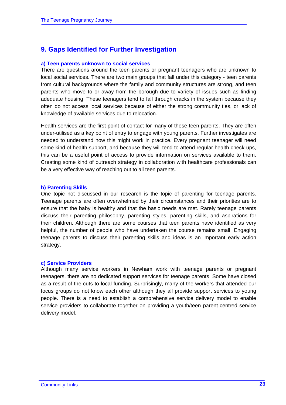# **9. Gaps Identified for Further Investigation**

#### **a) Teen parents unknown to social services**

There are questions around the teen parents or pregnant teenagers who are unknown to local social services. There are two main groups that fall under this category - teen parents from cultural backgrounds where the family and community structures are strong, and teen parents who move to or away from the borough due to variety of issues such as finding adequate housing. These teenagers tend to fall through cracks in the system because they often do not access local services because of either the strong community ties, or lack of knowledge of available services due to relocation.

Health services are the first point of contact for many of these teen parents. They are often under-utilised as a key point of entry to engage with young parents. Further investigates are needed to understand how this might work in practice. Every pregnant teenager will need some kind of health support, and because they will tend to attend regular health check-ups, this can be a useful point of access to provide information on services available to them. Creating some kind of outreach strategy in collaboration with healthcare professionals can be a very effective way of reaching out to all teen parents.

#### **b) Parenting Skills**

One topic not discussed in our research is the topic of parenting for teenage parents. Teenage parents are often overwhelmed by their circumstances and their priorities are to ensure that the baby is healthy and that the basic needs are met. Rarely teenage parents discuss their parenting philosophy, parenting styles, parenting skills, and aspirations for their children. Although there are some courses that teen parents have identified as very helpful, the number of people who have undertaken the course remains small. Engaging teenage parents to discuss their parenting skills and ideas is an important early action strategy.

#### **c) Service Providers**

Although many service workers in Newham work with teenage parents or pregnant teenagers, there are no dedicated support services for teenage parents. Some have closed as a result of the cuts to local funding. Surprisingly, many of the workers that attended our focus groups do not know each other although they all provide support services to young people. There is a need to establish a comprehensive service delivery model to enable service providers to collaborate together on providing a youth/teen parent-centred service delivery model.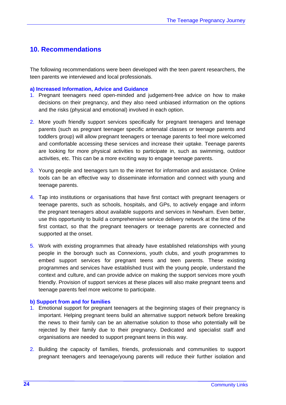# **10. Recommendations**

The following recommendations were been developed with the teen parent researchers, the teen parents we interviewed and local professionals.

## **a) Increased Information, Advice and Guidance**

- 1. Pregnant teenagers need open-minded and judgement-free advice on how to make decisions on their pregnancy, and they also need unbiased information on the options and the risks (physical and emotional) involved in each option.
- 2. More youth friendly support services specifically for pregnant teenagers and teenage parents (such as pregnant teenager specific antenatal classes or teenage parents and toddlers group) will allow pregnant teenagers or teenage parents to feel more welcomed and comfortable accessing these services and increase their uptake. Teenage parents are looking for more physical activities to participate in, such as swimming, outdoor activities, etc. This can be a more exciting way to engage teenage parents.
- 3. Young people and teenagers turn to the internet for information and assistance. Online tools can be an effective way to disseminate information and connect with young and teenage parents.
- 4. Tap into institutions or organisations that have first contact with pregnant teenagers or teenage parents, such as schools, hospitals, and GPs, to actively engage and inform the pregnant teenagers about available supports and services in Newham. Even better, use this opportunity to build a comprehensive service delivery network at the time of the first contact, so that the pregnant teenagers or teenage parents are connected and supported at the onset.
- 5. Work with existing programmes that already have established relationships with young people in the borough such as Connexions, youth clubs, and youth programmes to embed support services for pregnant teens and teen parents. These existing programmes and services have established trust with the young people, understand the context and culture, and can provide advice on making the support services more youth friendly. Provision of support services at these places will also make pregnant teens and teenage parents feel more welcome to participate.

#### **b) Support from and for families**

- 1. Emotional support for pregnant teenagers at the beginning stages of their pregnancy is important. Helping pregnant teens build an alternative support network before breaking the news to their family can be an alternative solution to those who potentially will be rejected by their family due to their pregnancy. Dedicated and specialist staff and organisations are needed to support pregnant teens in this way.
- 2. Building the capacity of families, friends, professionals and communities to support pregnant teenagers and teenage/young parents will reduce their further isolation and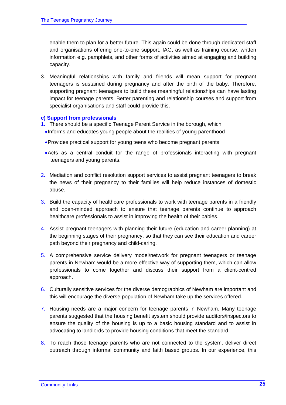enable them to plan for a better future. This again could be done through dedicated staff and organisations offering one-to-one support, IAG, as well as training course, written information e.g. pamphlets, and other forms of activities aimed at engaging and building capacity.

3. Meaningful relationships with family and friends will mean support for pregnant teenagers is sustained during pregnancy and after the birth of the baby. Therefore, supporting pregnant teenagers to build these meaningful relationships can have lasting impact for teenage parents. Better parenting and relationship courses and support from specialist organisations and staff could provide this.

#### **c) Support from professionals**

- 1. There should be a specific Teenage Parent Service in the borough, which
	- •Informs and educates young people about the realities of young parenthood
	- •Provides practical support for young teens who become pregnant parents
	- •Acts as a central conduit for the range of professionals interacting with pregnant teenagers and young parents.
- 2. Mediation and conflict resolution support services to assist pregnant teenagers to break the news of their pregnancy to their families will help reduce instances of domestic abuse.
- 3. Build the capacity of healthcare professionals to work with teenage parents in a friendly and open-minded approach to ensure that teenage parents continue to approach healthcare professionals to assist in improving the health of their babies.
- 4. Assist pregnant teenagers with planning their future (education and career planning) at the beginning stages of their pregnancy, so that they can see their education and career path beyond their pregnancy and child-caring.
- 5. A comprehensive service delivery model/network for pregnant teenagers or teenage parents in Newham would be a more effective way of supporting them, which can allow professionals to come together and discuss their support from a client-centred approach.
- 6. Culturally sensitive services for the diverse demographics of Newham are important and this will encourage the diverse population of Newham take up the services offered.
- 7. Housing needs are a major concern for teenage parents in Newham. Many teenage parents suggested that the housing benefit system should provide auditors/inspectors to ensure the quality of the housing is up to a basic housing standard and to assist in advocating to landlords to provide housing conditions that meet the standard.
- 8. To reach those teenage parents who are not connected to the system, deliver direct outreach through informal community and faith based groups. In our experience, this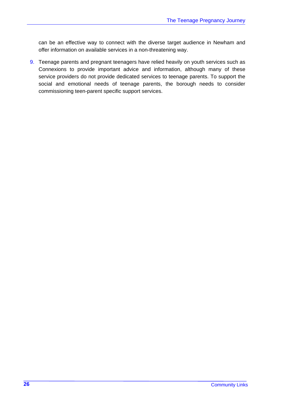can be an effective way to connect with the diverse target audience in Newham and offer information on available services in a non-threatening way.

9. Teenage parents and pregnant teenagers have relied heavily on youth services such as Connexions to provide important advice and information, although many of these service providers do not provide dedicated services to teenage parents. To support the social and emotional needs of teenage parents, the borough needs to consider commissioning teen-parent specific support services.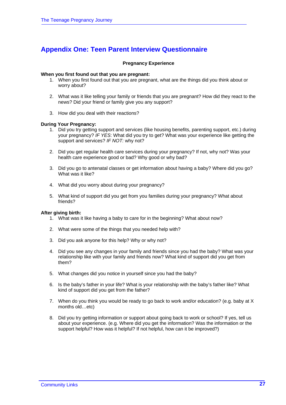# **Appendix One: Teen Parent Interview Questionnaire**

#### **Pregnancy Experience**

#### **When you first found out that you are pregnant:**

- 1. When you first found out that you are pregnant, what are the things did you think about or worry about?
- 2. What was it like telling your family or friends that you are pregnant? How did they react to the news? Did your friend or family give you any support?
- 3. How did you deal with their reactions?

#### **During Your Pregnancy:**

- 1. Did you try getting support and services (like housing benefits, parenting support, etc.) during your pregnancy? *IF YES*: What did you try to get? What was your experience like getting the support and services? *IF NOT:* why not?
- 2. Did you get regular health care services during your pregnancy? If not, why not? Was your health care experience good or bad? Why good or why bad?
- 3. Did you go to antenatal classes or get information about having a baby? Where did you go? What was it like?
- 4. What did you worry about during your pregnancy?
- 5. What kind of support did you get from you families during your pregnancy? What about friends?

#### **After giving birth:**

- 1. What was it like having a baby to care for in the beginning? What about now?
- 2. What were some of the things that you needed help with?
- 3. Did you ask anyone for this help? Why or why not?
- 4. Did you see any changes in your family and friends since you had the baby? What was your relationship like with your family and friends now? What kind of support did you get from them?
- 5. What changes did you notice in yourself since you had the baby?
- 6. Is the baby's father in your life? What is your relationship with the baby's father like? What kind of support did you get from the father?
- 7. When do you think you would be ready to go back to work and/or education? (e.g. baby at X months old…etc)
- 8. Did you try getting information or support about going back to work or school? If yes, tell us about your experience. (e.g. Where did you get the information? Was the information or the support helpful? How was it helpful? If not helpful, how can it be improved?)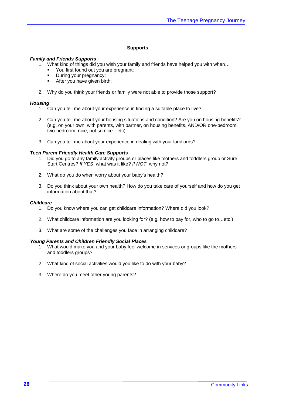#### **Supports**

#### *Family and Friends Supports*

- 1. What kind of things did you wish your family and friends have helped you with when…
	- You first found out you are pregnant:
	- During your pregnancy:
	- **After you have given birth:**
- 2. Why do you think your friends or family were not able to provide those support?

#### *Housing*

- 1. Can you tell me about your experience in finding a suitable place to live?
- 2. Can you tell me about your housing situations and condition? Are you on housing benefits? (e.g. on your own, with parents, with partner, on housing benefits, AND/OR one-bedroom, two-bedroom, nice, not so nice…etc)
- 3. Can you tell me about your experience in dealing with your landlords?

#### *Teen Parent Friendly Health Care Supports*

- 1. Did you go to any family activity groups or places like mothers and toddlers group or Sure Start Centres? *If YES*, what was it like? *If NOT*, why not?
- 2. What do you do when worry about your baby's health?
- 3. Do you think about your own health? How do you take care of yourself and how do you get information about that?

#### *Childcare*

- 1. Do you know where you can get childcare information? Where did you look?
- 2. What childcare information are you looking for? (e.g. how to pay for, who to go to…etc.)
- 3. What are some of the challenges you face in arranging childcare?

#### *Young Parents and Children Friendly Social Places*

- 1. What would make you and your baby feel welcome in services or groups like the mothers and toddlers groups?
- 2. What kind of social activities would you like to do with your baby?
- 3. Where do you meet other young parents?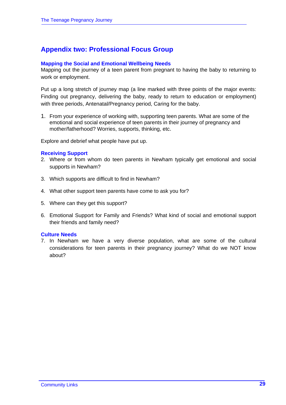# **Appendix two: Professional Focus Group**

## **Mapping the Social and Emotional Wellbeing Needs**

Mapping out the journey of a teen parent from pregnant to having the baby to returning to work or employment.

Put up a long stretch of journey map (a line marked with three points of the major events: Finding out pregnancy, delivering the baby, ready to return to education or employment) with three periods, Antenatal/Pregnancy period, Caring for the baby.

1. From your experience of working with, supporting teen parents. What are some of the emotional and social experience of teen parents in their journey of pregnancy and mother/fatherhood? Worries, supports, thinking, etc.

Explore and debrief what people have put up.

#### **Receiving Support**

- 2. Where or from whom do teen parents in Newham typically get emotional and social supports in Newham?
- 3. Which supports are difficult to find in Newham?
- 4. What other support teen parents have come to ask you for?
- 5. Where can they get this support?
- 6. Emotional Support for Family and Friends? What kind of social and emotional support their friends and family need?

#### **Culture Needs**

7. In Newham we have a very diverse population, what are some of the cultural considerations for teen parents in their pregnancy journey? What do we NOT know about?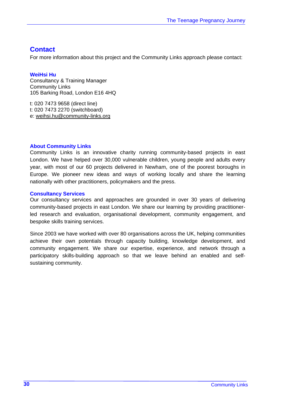# **Contact**

For more information about this project and the Community Links approach please contact:

# **WeiHsi Hu**

Consultancy & Training Manager Community Links 105 Barking Road, London E16 4HQ

t: 020 7473 9658 (direct line) t: 020 7473 2270 (switchboard) e: weihsi.hu@community-links.org

# **About Community Links**

Community Links is an innovative charity running community-based projects in east London. We have helped over 30,000 vulnerable children, young people and adults every year, with most of our 60 projects delivered in Newham, one of the poorest boroughs in Europe. We pioneer new ideas and ways of working locally and share the learning nationally with other practitioners, policymakers and the press.

## **Consultancy Services**

Our consultancy services and approaches are grounded in over 30 years of delivering community-based projects in east London. We share our learning by providing practitionerled research and evaluation, organisational development, community engagement, and bespoke skills training services.

Since 2003 we have worked with over 80 organisations across the UK, helping communities achieve their own potentials through capacity building, knowledge development, and community engagement. We share our expertise, experience, and network through a participatory skills-building approach so that we leave behind an enabled and selfsustaining community.